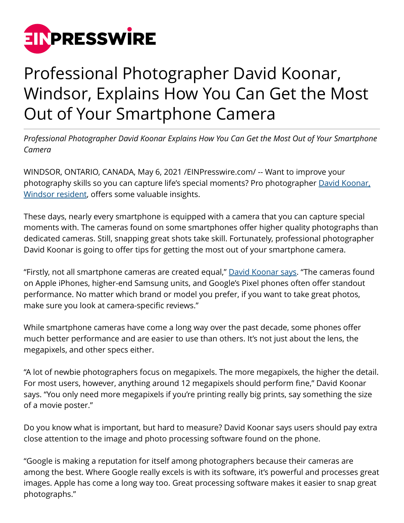

## Professional Photographer David Koonar, Windsor, Explains How You Can Get the Most Out of Your Smartphone Camera

*Professional Photographer David Koonar Explains How You Can Get the Most Out of Your Smartphone Camera*

WINDSOR, ONTARIO, CANADA, May 6, 2021 [/EINPresswire.com/](http://www.einpresswire.com) -- Want to improve your photography skills so you can capture life's special moments? Pro photographer [David Koonar,](https://muckrack.com/davidkoonar) [Windsor resident,](https://muckrack.com/davidkoonar) offers some valuable insights.

These days, nearly every smartphone is equipped with a camera that you can capture special moments with. The cameras found on some smartphones offer higher quality photographs than dedicated cameras. Still, snapping great shots take skill. Fortunately, professional photographer David Koonar is going to offer tips for getting the most out of your smartphone camera.

"Firstly, not all smartphone cameras are created equal," [David Koonar says.](https://www.thecowboychannel.com/story/43594010/david-koonar-illustrates-how-to-be-a-professional-photographer-with-insight-for-beginners) "The cameras found on Apple iPhones, higher-end Samsung units, and Google's Pixel phones often offer standout performance. No matter which brand or model you prefer, if you want to take great photos, make sure you look at camera-specific reviews."

While smartphone cameras have come a long way over the past decade, some phones offer much better performance and are easier to use than others. It's not just about the lens, the megapixels, and other specs either.

"A lot of newbie photographers focus on megapixels. The more megapixels, the higher the detail. For most users, however, anything around 12 megapixels should perform fine," David Koonar says. "You only need more megapixels if you're printing really big prints, say something the size of a movie poster."

Do you know what is important, but hard to measure? David Koonar says users should pay extra close attention to the image and photo processing software found on the phone.

"Google is making a reputation for itself among photographers because their cameras are among the best. Where Google really excels is with its software, it's powerful and processes great images. Apple has come a long way too. Great processing software makes it easier to snap great photographs."